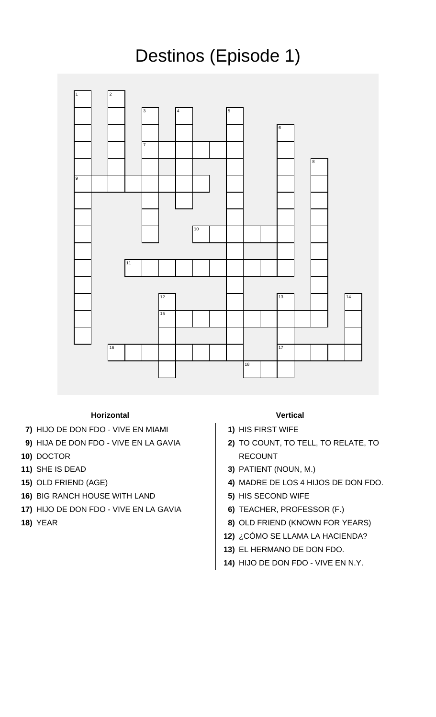## Destinos (Episode 1)



## **Horizontal Vertical**

- **7)** HIJO DE DON FDO VIVE EN MIAMI **1)** HIS FIRST WIFE
- **9)** HIJA DE DON FDO VIVE EN LA GAVIA **2)** TO COUNT, TO TELL, TO RELATE, TO
- 
- 
- 
- **16)** BIG RANCH HOUSE WITH LAND **5)** HIS SECOND WIFE
- **17)** HIJO DE DON FDO VIVE EN LA GAVIA **6)** TEACHER, PROFESSOR (F.)
- 

- 
- **10)** DOCTOR RECOUNT
- **11)** SHE IS DEAD **3)** PATIENT (NOUN, M.)
- **15)** OLD FRIEND (AGE) **4)** MADRE DE LOS 4 HIJOS DE DON FDO.
	-
	-
- **18)** YEAR **8)** OLD FRIEND (KNOWN FOR YEARS)
	- **12)** ¿CÓMO SE LLAMA LA HACIENDA?
	- **13)** EL HERMANO DE DON FDO.
	- **14)** HIJO DE DON FDO VIVE EN N.Y.